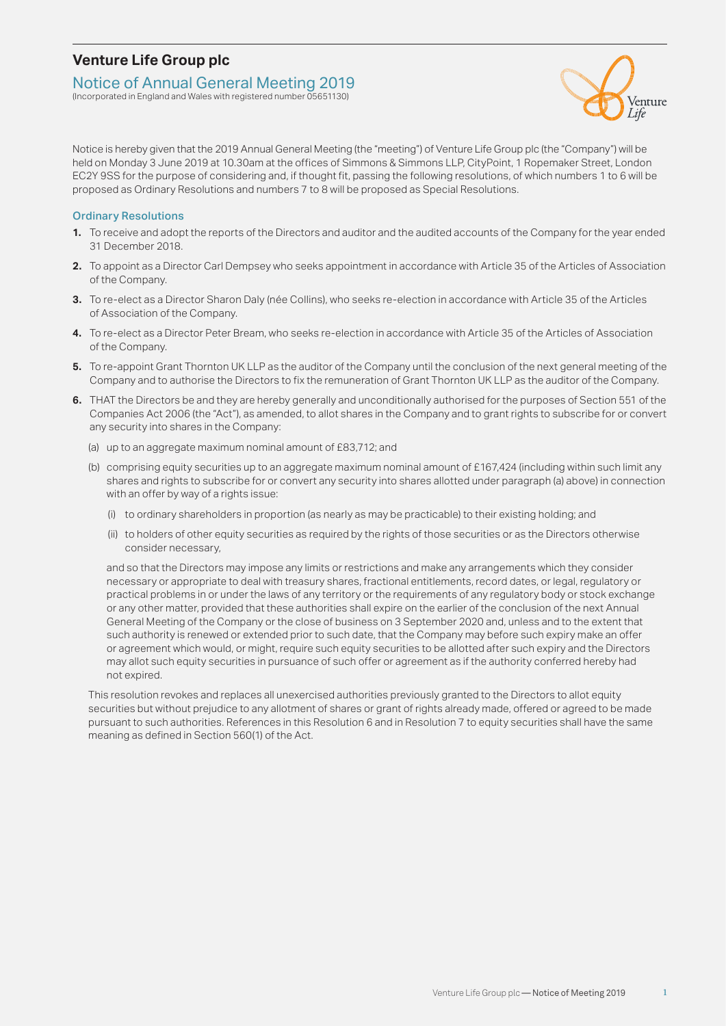## **Venture Life Group plc**

#### Notice of Annual General Meeting 2019

(Incorporated in England and Wales with registered number 05651130)



Notice is hereby given that the 2019 Annual General Meeting (the "meeting") of Venture Life Group plc (the "Company") will be held on Monday 3 June 2019 at 10.30am at the offices of Simmons & Simmons LLP, CityPoint, 1 Ropemaker Street, London EC2Y 9SS for the purpose of considering and, if thought fit, passing the following resolutions, of which numbers 1 to 6 will be proposed as Ordinary Resolutions and numbers 7 to 8 will be proposed as Special Resolutions.

#### Ordinary Resolutions

- **1.** To receive and adopt the reports of the Directors and auditor and the audited accounts of the Company for the year ended 31 December 2018.
- **2.** To appoint as a Director Carl Dempsey who seeks appointment in accordance with Article 35 of the Articles of Association of the Company.
- **3.** To re-elect as a Director Sharon Daly (née Collins), who seeks re-election in accordance with Article 35 of the Articles of Association of the Company.
- **4.** To re-elect as a Director Peter Bream, who seeks re-election in accordance with Article 35 of the Articles of Association of the Company.
- **5.** To re-appoint Grant Thornton UK LLP as the auditor of the Company until the conclusion of the next general meeting of the Company and to authorise the Directors to fix the remuneration of Grant Thornton UK LLP as the auditor of the Company.
- **6.** THAT the Directors be and they are hereby generally and unconditionally authorised for the purposes of Section 551 of the Companies Act 2006 (the "Act"), as amended, to allot shares in the Company and to grant rights to subscribe for or convert any security into shares in the Company:
	- (a) up to an aggregate maximum nominal amount of £83,712; and
	- (b) comprising equity securities up to an aggregate maximum nominal amount of £167,424 (including within such limit any shares and rights to subscribe for or convert any security into shares allotted under paragraph (a) above) in connection with an offer by way of a rights issue:
		- (i) to ordinary shareholders in proportion (as nearly as may be practicable) to their existing holding; and
		- (ii) to holders of other equity securities as required by the rights of those securities or as the Directors otherwise consider necessary,

 and so that the Directors may impose any limits or restrictions and make any arrangements which they consider necessary or appropriate to deal with treasury shares, fractional entitlements, record dates, or legal, regulatory or practical problems in or under the laws of any territory or the requirements of any regulatory body or stock exchange or any other matter, provided that these authorities shall expire on the earlier of the conclusion of the next Annual General Meeting of the Company or the close of business on 3 September 2020 and, unless and to the extent that such authority is renewed or extended prior to such date, that the Company may before such expiry make an offer or agreement which would, or might, require such equity securities to be allotted after such expiry and the Directors may allot such equity securities in pursuance of such offer or agreement as if the authority conferred hereby had not expired.

This resolution revokes and replaces all unexercised authorities previously granted to the Directors to allot equity securities but without prejudice to any allotment of shares or grant of rights already made, offered or agreed to be made pursuant to such authorities. References in this Resolution 6 and in Resolution 7 to equity securities shall have the same meaning as defined in Section 560(1) of the Act.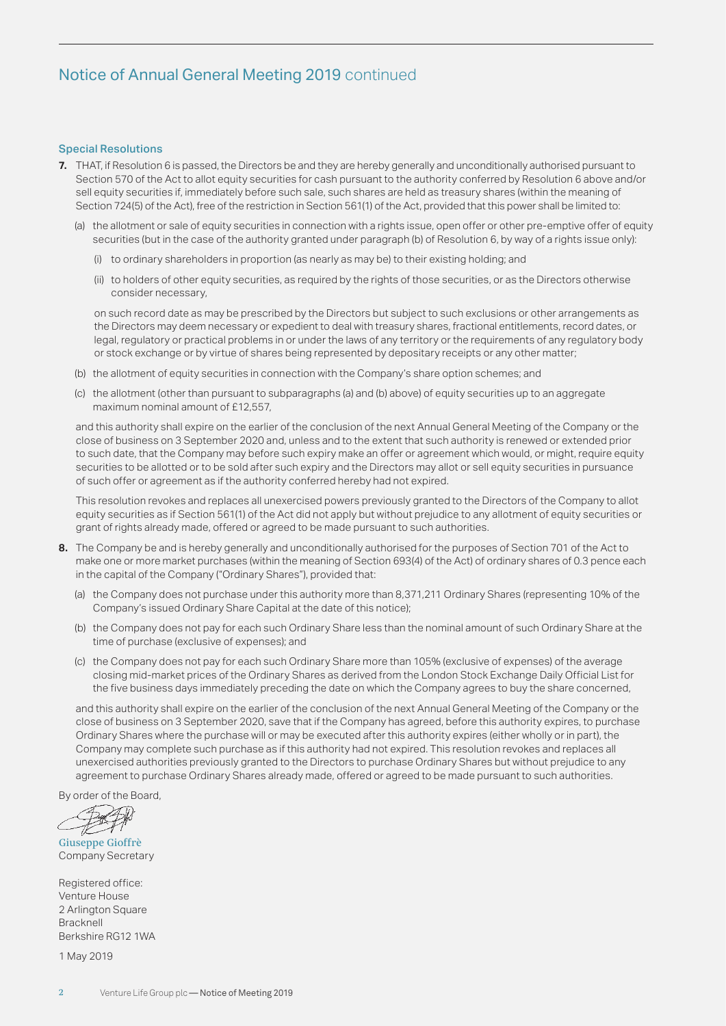# Notice of Annual General Meeting 2019 continued

#### Special Resolutions

- **7.** THAT, if Resolution 6 is passed, the Directors be and they are hereby generally and unconditionally authorised pursuant to Section 570 of the Act to allot equity securities for cash pursuant to the authority conferred by Resolution 6 above and/or sell equity securities if, immediately before such sale, such shares are held as treasury shares (within the meaning of Section 724(5) of the Act), free of the restriction in Section 561(1) of the Act, provided that this power shall be limited to:
	- (a) the allotment or sale of equity securities in connection with a rights issue, open offer or other pre-emptive offer of equity securities (but in the case of the authority granted under paragraph (b) of Resolution 6, by way of a rights issue only):
		- (i) to ordinary shareholders in proportion (as nearly as may be) to their existing holding; and
		- (ii) to holders of other equity securities, as required by the rights of those securities, or as the Directors otherwise consider necessary,

on such record date as may be prescribed by the Directors but subject to such exclusions or other arrangements as the Directors may deem necessary or expedient to deal with treasury shares, fractional entitlements, record dates, or legal, regulatory or practical problems in or under the laws of any territory or the requirements of any regulatory body or stock exchange or by virtue of shares being represented by depositary receipts or any other matter;

- (b) the allotment of equity securities in connection with the Company's share option schemes; and
- (c) the allotment (other than pursuant to subparagraphs (a) and (b) above) of equity securities up to an aggregate maximum nominal amount of £12,557,

 and this authority shall expire on the earlier of the conclusion of the next Annual General Meeting of the Company or the close of business on 3 September 2020 and, unless and to the extent that such authority is renewed or extended prior to such date, that the Company may before such expiry make an offer or agreement which would, or might, require equity securities to be allotted or to be sold after such expiry and the Directors may allot or sell equity securities in pursuance of such offer or agreement as if the authority conferred hereby had not expired.

 This resolution revokes and replaces all unexercised powers previously granted to the Directors of the Company to allot equity securities as if Section 561(1) of the Act did not apply but without prejudice to any allotment of equity securities or grant of rights already made, offered or agreed to be made pursuant to such authorities.

- **8.** The Company be and is hereby generally and unconditionally authorised for the purposes of Section 701 of the Act to make one or more market purchases (within the meaning of Section 693(4) of the Act) of ordinary shares of 0.3 pence each in the capital of the Company ("Ordinary Shares"), provided that:
	- (a) the Company does not purchase under this authority more than 8,371,211 Ordinary Shares (representing 10% of the Company's issued Ordinary Share Capital at the date of this notice);
	- (b) the Company does not pay for each such Ordinary Share less than the nominal amount of such Ordinary Share at the time of purchase (exclusive of expenses); and
	- (c) the Company does not pay for each such Ordinary Share more than 105% (exclusive of expenses) of the average closing mid-market prices of the Ordinary Shares as derived from the London Stock Exchange Daily Official List for the five business days immediately preceding the date on which the Company agrees to buy the share concerned,

 and this authority shall expire on the earlier of the conclusion of the next Annual General Meeting of the Company or the close of business on 3 September 2020, save that if the Company has agreed, before this authority expires, to purchase Ordinary Shares where the purchase will or may be executed after this authority expires (either wholly or in part), the Company may complete such purchase as if this authority had not expired. This resolution revokes and replaces all unexercised authorities previously granted to the Directors to purchase Ordinary Shares but without prejudice to any agreement to purchase Ordinary Shares already made, offered or agreed to be made pursuant to such authorities.

By order of the Board,

Giuseppe Gioffrè Company Secretary

Registered office: Venture House 2 Arlington Square **Bracknell** Berkshire RG12 1WA

1 May 2019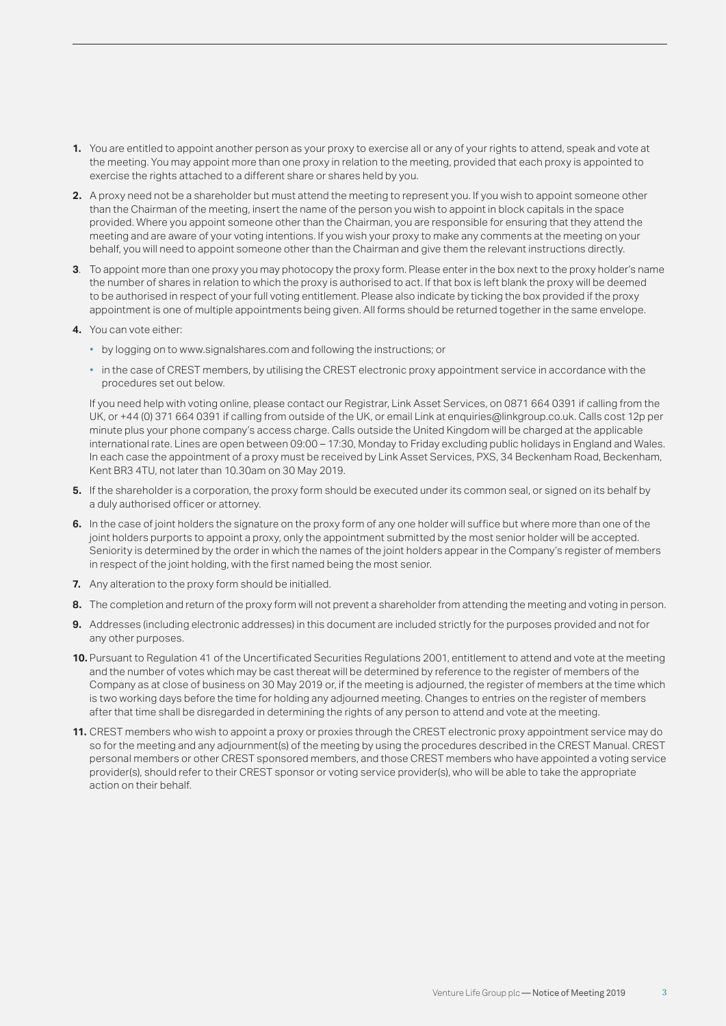- **1.** You are entitled to appoint another person as your proxy to exercise all or any of your rights to attend, speak and vote at the meeting. You may appoint more than one proxy in relation to the meeting, provided that each proxy is appointed to exercise the rights attached to a different share or shares held by you.
- **2.** A proxy need not be a shareholder but must attend the meeting to represent you. If you wish to appoint someone other than the Chairman of the meeting, insert the name of the person you wish to appoint in block capitals in the space provided. Where you appoint someone other than the Chairman, you are responsible for ensuring that they attend the meeting and are aware of your voting intentions. If you wish your proxy to make any comments at the meeting on your behalf, you will need to appoint someone other than the Chairman and give them the relevant instructions directly.
- **3**. To appoint more than one proxy you may photocopy the proxy form. Please enter in the box next to the proxy holder's name the number of shares in relation to which the proxy is authorised to act. If that box is left blank the proxy will be deemed to be authorised in respect of your full voting entitlement. Please also indicate by ticking the box provided if the proxy appointment is one of multiple appointments being given. All forms should be returned together in the same envelope.
- **4.** You can vote either:
	- by logging on to www.signalshares.com and following the instructions; or
	- in the case of CREST members, by utilising the CREST electronic proxy appointment service in accordance with the procedures set out below.

 If you need help with voting online, please contact our Registrar, Link Asset Services, on 0871 664 0391 if calling from the UK, or +44 (0) 371 664 0391 if calling from outside of the UK, or email Link at enquiries@linkgroup.co.uk. Calls cost 12p per minute plus your phone company's access charge. Calls outside the United Kingdom will be charged at the applicable international rate. Lines are open between 09:00 – 17:30, Monday to Friday excluding public holidays in England and Wales. In each case the appointment of a proxy must be received by Link Asset Services, PXS, 34 Beckenham Road, Beckenham, Kent BR3 4TU, not later than 10.30am on 30 May 2019.

- **5.** If the shareholder is a corporation, the proxy form should be executed under its common seal, or signed on its behalf by a duly authorised officer or attorney.
- **6.** In the case of joint holders the signature on the proxy form of any one holder will suffice but where more than one of the joint holders purports to appoint a proxy, only the appointment submitted by the most senior holder will be accepted. Seniority is determined by the order in which the names of the joint holders appear in the Company's register of members in respect of the joint holding, with the first named being the most senior.
- **7.** Any alteration to the proxy form should be initialled.
- **8.** The completion and return of the proxy form will not prevent a shareholder from attending the meeting and voting in person.
- **9.** Addresses (including electronic addresses) in this document are included strictly for the purposes provided and not for any other purposes.
- **10.** Pursuant to Regulation 41 of the Uncertificated Securities Regulations 2001, entitlement to attend and vote at the meeting and the number of votes which may be cast thereat will be determined by reference to the register of members of the Company as at close of business on 30 May 2019 or, if the meeting is adjourned, the register of members at the time which is two working days before the time for holding any adjourned meeting. Changes to entries on the register of members after that time shall be disregarded in determining the rights of any person to attend and vote at the meeting.
- **11.** CREST members who wish to appoint a proxy or proxies through the CREST electronic proxy appointment service may do so for the meeting and any adjournment(s) of the meeting by using the procedures described in the CREST Manual. CREST personal members or other CREST sponsored members, and those CREST members who have appointed a voting service provider(s), should refer to their CREST sponsor or voting service provider(s), who will be able to take the appropriate action on their behalf.